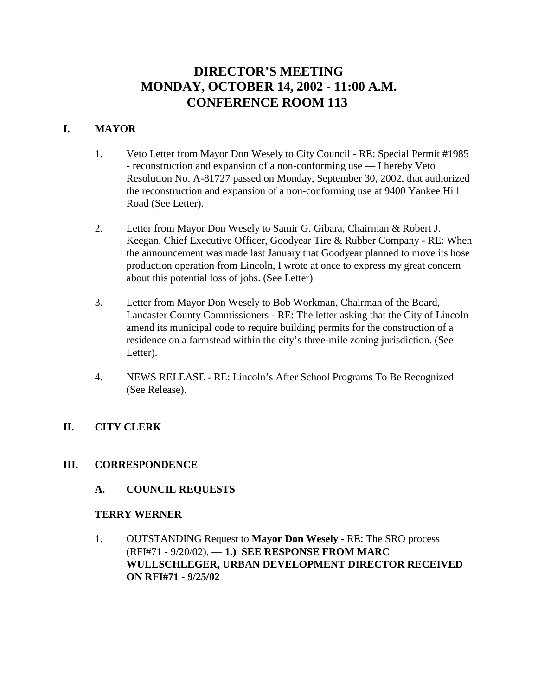# **DIRECTOR'S MEETING MONDAY, OCTOBER 14, 2002 - 11:00 A.M. CONFERENCE ROOM 113**

# **I. MAYOR**

- 1. Veto Letter from Mayor Don Wesely to City Council RE: Special Permit #1985 - reconstruction and expansion of a non-conforming use — I hereby Veto Resolution No. A-81727 passed on Monday, September 30, 2002, that authorized the reconstruction and expansion of a non-conforming use at 9400 Yankee Hill Road (See Letter).
- 2. Letter from Mayor Don Wesely to Samir G. Gibara, Chairman & Robert J. Keegan, Chief Executive Officer, Goodyear Tire & Rubber Company - RE: When the announcement was made last January that Goodyear planned to move its hose production operation from Lincoln, I wrote at once to express my great concern about this potential loss of jobs. (See Letter)
- 3. Letter from Mayor Don Wesely to Bob Workman, Chairman of the Board, Lancaster County Commissioners - RE: The letter asking that the City of Lincoln amend its municipal code to require building permits for the construction of a residence on a farmstead within the city's three-mile zoning jurisdiction. (See Letter).
- 4. NEWS RELEASE RE: Lincoln's After School Programs To Be Recognized (See Release).

# **II. CITY CLERK**

# **III. CORRESPONDENCE**

**A. COUNCIL REQUESTS**

#### **TERRY WERNER**

1. OUTSTANDING Request to **Mayor Don Wesely** - RE: The SRO process (RFI#71 - 9/20/02). — **1.) SEE RESPONSE FROM MARC WULLSCHLEGER, URBAN DEVELOPMENT DIRECTOR RECEIVED ON RFI#71 - 9/25/02**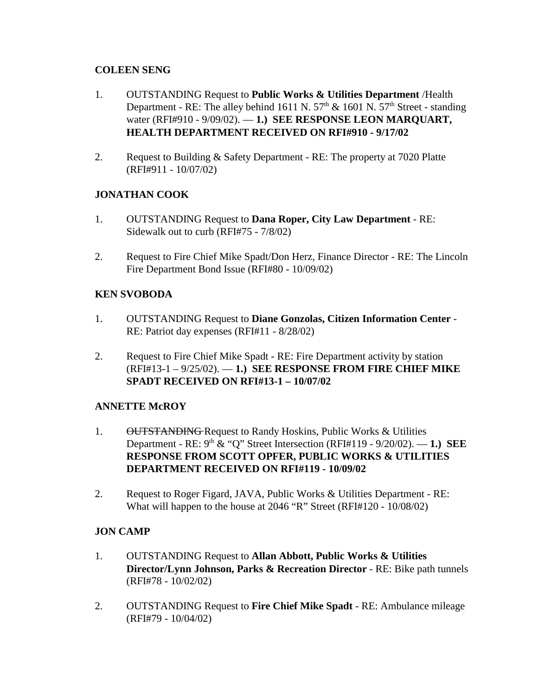# **COLEEN SENG**

- 1. OUTSTANDING Request to **Public Works & Utilities Department** /Health Department - RE: The alley behind 1611 N.  $57<sup>th</sup>$  & 1601 N.  $57<sup>th</sup>$  Street - standing water (RFI#910 - 9/09/02). — **1.) SEE RESPONSE LEON MARQUART, HEALTH DEPARTMENT RECEIVED ON RFI#910 - 9/17/02**
- 2. Request to Building & Safety Department RE: The property at 7020 Platte (RFI#911 - 10/07/02)

# **JONATHAN COOK**

- 1. OUTSTANDING Request to **Dana Roper, City Law Department** RE: Sidewalk out to curb (RFI#75 - 7/8/02)
- 2. Request to Fire Chief Mike Spadt/Don Herz, Finance Director RE: The Lincoln Fire Department Bond Issue (RFI#80 - 10/09/02)

# **KEN SVOBODA**

- 1. OUTSTANDING Request to **Diane Gonzolas, Citizen Information Center** RE: Patriot day expenses (RFI#11 - 8/28/02)
- 2. Request to Fire Chief Mike Spadt RE: Fire Department activity by station (RFI#13-1 – 9/25/02). — **1.) SEE RESPONSE FROM FIRE CHIEF MIKE SPADT RECEIVED ON RFI#13-1 – 10/07/02**

# **ANNETTE McROY**

- 1. OUTSTANDING Request to Randy Hoskins, Public Works & Utilities Department - RE: 9th & "Q" Street Intersection (RFI#119 - 9/20/02). — **1.) SEE RESPONSE FROM SCOTT OPFER, PUBLIC WORKS & UTILITIES DEPARTMENT RECEIVED ON RFI#119 - 10/09/02**
- 2. Request to Roger Figard, JAVA, Public Works & Utilities Department RE: What will happen to the house at 2046 "R" Street (RFI#120 - 10/08/02)

# **JON CAMP**

- 1. OUTSTANDING Request to **Allan Abbott, Public Works & Utilities Director/Lynn Johnson, Parks & Recreation Director** - RE: Bike path tunnels (RFI#78 - 10/02/02)
- 2. OUTSTANDING Request to **Fire Chief Mike Spadt** RE: Ambulance mileage (RFI#79 - 10/04/02)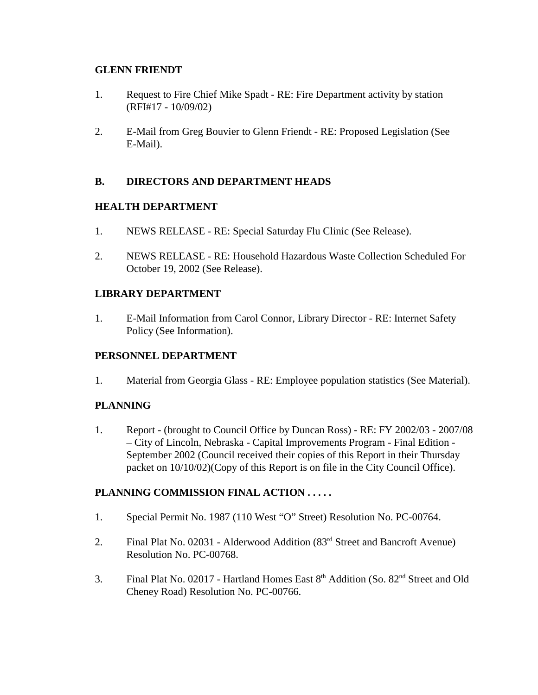#### **GLENN FRIENDT**

- 1. Request to Fire Chief Mike Spadt RE: Fire Department activity by station (RFI#17 - 10/09/02)
- 2. E-Mail from Greg Bouvier to Glenn Friendt RE: Proposed Legislation (See E-Mail).

# **B. DIRECTORS AND DEPARTMENT HEADS**

# **HEALTH DEPARTMENT**

- 1. NEWS RELEASE RE: Special Saturday Flu Clinic (See Release).
- 2. NEWS RELEASE RE: Household Hazardous Waste Collection Scheduled For October 19, 2002 (See Release).

# **LIBRARY DEPARTMENT**

1. E-Mail Information from Carol Connor, Library Director - RE: Internet Safety Policy (See Information).

# **PERSONNEL DEPARTMENT**

1. Material from Georgia Glass - RE: Employee population statistics (See Material).

# **PLANNING**

1. Report - (brought to Council Office by Duncan Ross) - RE: FY 2002/03 - 2007/08 – City of Lincoln, Nebraska - Capital Improvements Program - Final Edition - September 2002 (Council received their copies of this Report in their Thursday packet on 10/10/02)(Copy of this Report is on file in the City Council Office).

# **PLANNING COMMISSION FINAL ACTION . . . . .**

- 1. Special Permit No. 1987 (110 West "O" Street) Resolution No. PC-00764.
- 2. Final Plat No. 02031 Alderwood Addition (83rd Street and Bancroft Avenue) Resolution No. PC-00768.
- 3. Final Plat No. 02017 Hartland Homes East 8<sup>th</sup> Addition (So. 82<sup>nd</sup> Street and Old Cheney Road) Resolution No. PC-00766.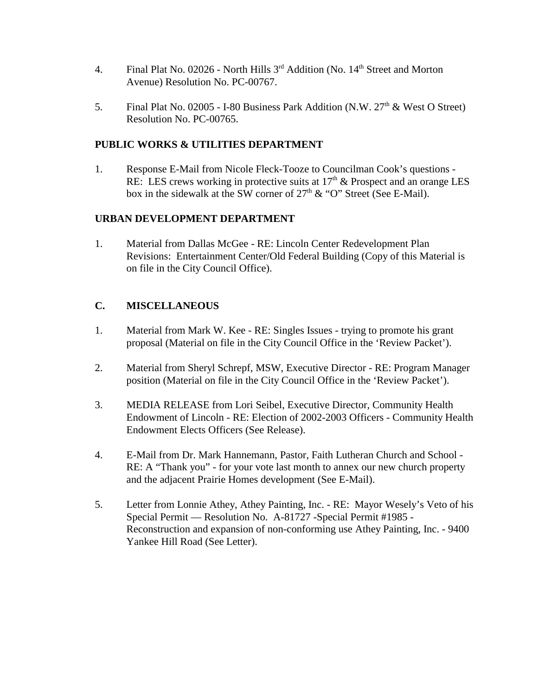- 4. Final Plat No. 02026 North Hills  $3<sup>rd</sup>$  Addition (No.  $14<sup>th</sup>$  Street and Morton Avenue) Resolution No. PC-00767.
- 5. Final Plat No. 02005 I-80 Business Park Addition (N.W. 27<sup>th</sup> & West O Street) Resolution No. PC-00765.

# **PUBLIC WORKS & UTILITIES DEPARTMENT**

1. Response E-Mail from Nicole Fleck-Tooze to Councilman Cook's questions - RE: LES crews working in protective suits at  $17<sup>th</sup>$  & Prospect and an orange LES box in the sidewalk at the SW corner of  $27<sup>th</sup>$  & "O" Street (See E-Mail).

# **URBAN DEVELOPMENT DEPARTMENT**

1. Material from Dallas McGee - RE: Lincoln Center Redevelopment Plan Revisions: Entertainment Center/Old Federal Building (Copy of this Material is on file in the City Council Office).

# **C. MISCELLANEOUS**

- 1. Material from Mark W. Kee RE: Singles Issues trying to promote his grant proposal (Material on file in the City Council Office in the 'Review Packet').
- 2. Material from Sheryl Schrepf, MSW, Executive Director RE: Program Manager position (Material on file in the City Council Office in the 'Review Packet').
- 3. MEDIA RELEASE from Lori Seibel, Executive Director, Community Health Endowment of Lincoln - RE: Election of 2002-2003 Officers - Community Health Endowment Elects Officers (See Release).
- 4. E-Mail from Dr. Mark Hannemann, Pastor, Faith Lutheran Church and School RE: A "Thank you" - for your vote last month to annex our new church property and the adjacent Prairie Homes development (See E-Mail).
- 5. Letter from Lonnie Athey, Athey Painting, Inc. RE: Mayor Wesely's Veto of his Special Permit — Resolution No. A-81727 -Special Permit #1985 - Reconstruction and expansion of non-conforming use Athey Painting, Inc. - 9400 Yankee Hill Road (See Letter).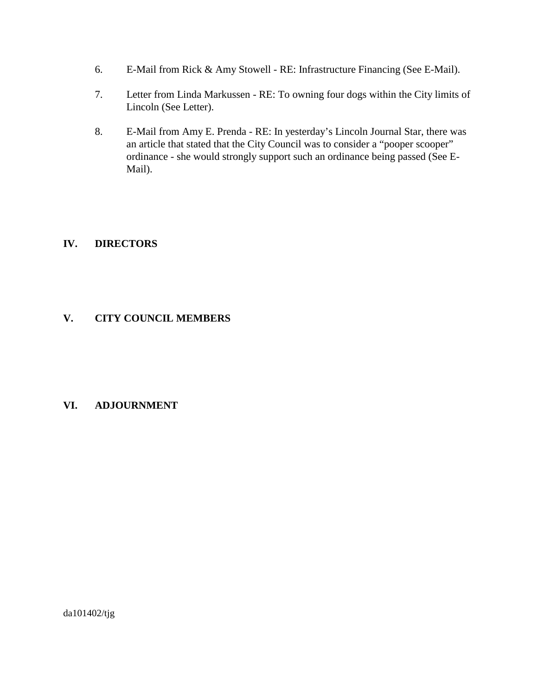- 6. E-Mail from Rick & Amy Stowell RE: Infrastructure Financing (See E-Mail).
- 7. Letter from Linda Markussen RE: To owning four dogs within the City limits of Lincoln (See Letter).
- 8. E-Mail from Amy E. Prenda RE: In yesterday's Lincoln Journal Star, there was an article that stated that the City Council was to consider a "pooper scooper" ordinance - she would strongly support such an ordinance being passed (See E-Mail).

# **IV. DIRECTORS**

# **V. CITY COUNCIL MEMBERS**

# **VI. ADJOURNMENT**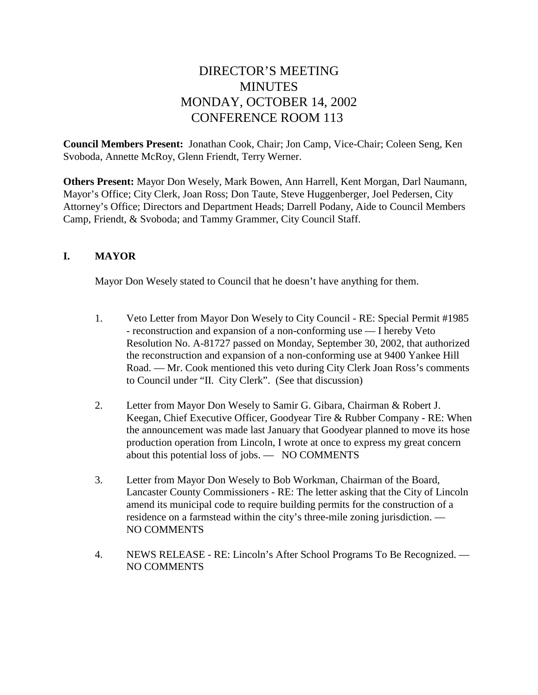# DIRECTOR'S MEETING **MINUTES** MONDAY, OCTOBER 14, 2002 CONFERENCE ROOM 113

**Council Members Present:** Jonathan Cook, Chair; Jon Camp, Vice-Chair; Coleen Seng, Ken Svoboda, Annette McRoy, Glenn Friendt, Terry Werner.

**Others Present:** Mayor Don Wesely, Mark Bowen, Ann Harrell, Kent Morgan, Darl Naumann, Mayor's Office; City Clerk, Joan Ross; Don Taute, Steve Huggenberger, Joel Pedersen, City Attorney's Office; Directors and Department Heads; Darrell Podany, Aide to Council Members Camp, Friendt, & Svoboda; and Tammy Grammer, City Council Staff.

# **I. MAYOR**

Mayor Don Wesely stated to Council that he doesn't have anything for them.

- 1. Veto Letter from Mayor Don Wesely to City Council RE: Special Permit #1985 - reconstruction and expansion of a non-conforming use — I hereby Veto Resolution No. A-81727 passed on Monday, September 30, 2002, that authorized the reconstruction and expansion of a non-conforming use at 9400 Yankee Hill Road. — Mr. Cook mentioned this veto during City Clerk Joan Ross's comments to Council under "II. City Clerk". (See that discussion)
- 2. Letter from Mayor Don Wesely to Samir G. Gibara, Chairman & Robert J. Keegan, Chief Executive Officer, Goodyear Tire & Rubber Company - RE: When the announcement was made last January that Goodyear planned to move its hose production operation from Lincoln, I wrote at once to express my great concern about this potential loss of jobs. — NO COMMENTS
- 3. Letter from Mayor Don Wesely to Bob Workman, Chairman of the Board, Lancaster County Commissioners - RE: The letter asking that the City of Lincoln amend its municipal code to require building permits for the construction of a residence on a farmstead within the city's three-mile zoning jurisdiction. — NO COMMENTS
- 4. NEWS RELEASE RE: Lincoln's After School Programs To Be Recognized. NO COMMENTS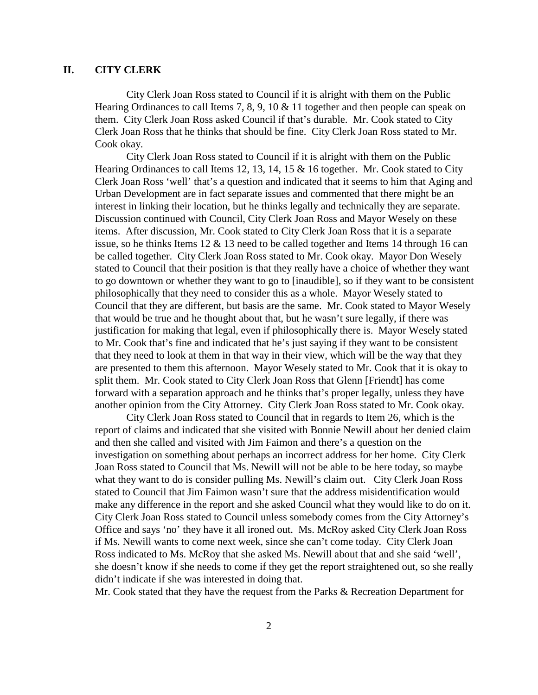#### **II. CITY CLERK**

City Clerk Joan Ross stated to Council if it is alright with them on the Public Hearing Ordinances to call Items 7, 8, 9, 10 & 11 together and then people can speak on them. City Clerk Joan Ross asked Council if that's durable. Mr. Cook stated to City Clerk Joan Ross that he thinks that should be fine. City Clerk Joan Ross stated to Mr. Cook okay.

City Clerk Joan Ross stated to Council if it is alright with them on the Public Hearing Ordinances to call Items 12, 13, 14, 15 & 16 together. Mr. Cook stated to City Clerk Joan Ross 'well' that's a question and indicated that it seems to him that Aging and Urban Development are in fact separate issues and commented that there might be an interest in linking their location, but he thinks legally and technically they are separate. Discussion continued with Council, City Clerk Joan Ross and Mayor Wesely on these items. After discussion, Mr. Cook stated to City Clerk Joan Ross that it is a separate issue, so he thinks Items  $12 \& 13$  need to be called together and Items 14 through 16 can be called together. City Clerk Joan Ross stated to Mr. Cook okay. Mayor Don Wesely stated to Council that their position is that they really have a choice of whether they want to go downtown or whether they want to go to [inaudible], so if they want to be consistent philosophically that they need to consider this as a whole. Mayor Wesely stated to Council that they are different, but basis are the same. Mr. Cook stated to Mayor Wesely that would be true and he thought about that, but he wasn't sure legally, if there was justification for making that legal, even if philosophically there is. Mayor Wesely stated to Mr. Cook that's fine and indicated that he's just saying if they want to be consistent that they need to look at them in that way in their view, which will be the way that they are presented to them this afternoon. Mayor Wesely stated to Mr. Cook that it is okay to split them. Mr. Cook stated to City Clerk Joan Ross that Glenn [Friendt] has come forward with a separation approach and he thinks that's proper legally, unless they have another opinion from the City Attorney. City Clerk Joan Ross stated to Mr. Cook okay.

City Clerk Joan Ross stated to Council that in regards to Item 26, which is the report of claims and indicated that she visited with Bonnie Newill about her denied claim and then she called and visited with Jim Faimon and there's a question on the investigation on something about perhaps an incorrect address for her home. City Clerk Joan Ross stated to Council that Ms. Newill will not be able to be here today, so maybe what they want to do is consider pulling Ms. Newill's claim out. City Clerk Joan Ross stated to Council that Jim Faimon wasn't sure that the address misidentification would make any difference in the report and she asked Council what they would like to do on it. City Clerk Joan Ross stated to Council unless somebody comes from the City Attorney's Office and says 'no' they have it all ironed out. Ms. McRoy asked City Clerk Joan Ross if Ms. Newill wants to come next week, since she can't come today. City Clerk Joan Ross indicated to Ms. McRoy that she asked Ms. Newill about that and she said 'well', she doesn't know if she needs to come if they get the report straightened out, so she really didn't indicate if she was interested in doing that.

Mr. Cook stated that they have the request from the Parks & Recreation Department for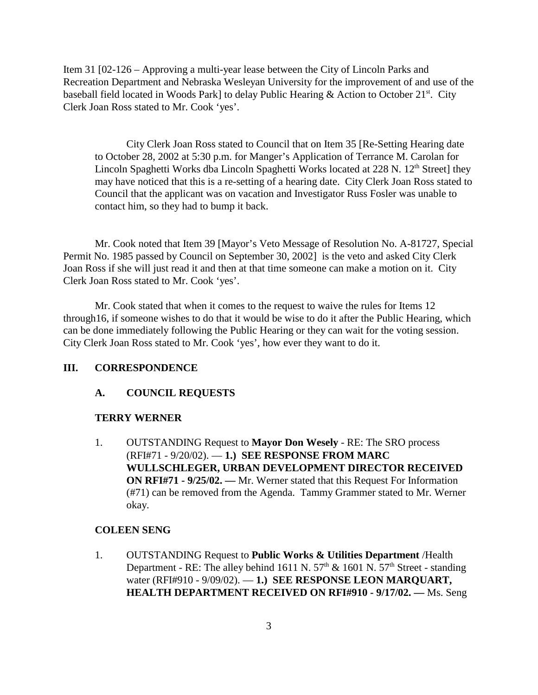Item 31 [02-126 – Approving a multi-year lease between the City of Lincoln Parks and Recreation Department and Nebraska Wesleyan University for the improvement of and use of the baseball field located in Woods Park] to delay Public Hearing & Action to October  $21^{st}$ . City Clerk Joan Ross stated to Mr. Cook 'yes'.

City Clerk Joan Ross stated to Council that on Item 35 [Re-Setting Hearing date to October 28, 2002 at 5:30 p.m. for Manger's Application of Terrance M. Carolan for Lincoln Spaghetti Works dba Lincoln Spaghetti Works located at  $228$  N.  $12<sup>th</sup>$  Street] they may have noticed that this is a re-setting of a hearing date. City Clerk Joan Ross stated to Council that the applicant was on vacation and Investigator Russ Fosler was unable to contact him, so they had to bump it back.

Mr. Cook noted that Item 39 [Mayor's Veto Message of Resolution No. A-81727, Special Permit No. 1985 passed by Council on September 30, 2002] is the veto and asked City Clerk Joan Ross if she will just read it and then at that time someone can make a motion on it. City Clerk Joan Ross stated to Mr. Cook 'yes'.

Mr. Cook stated that when it comes to the request to waive the rules for Items 12 through16, if someone wishes to do that it would be wise to do it after the Public Hearing, which can be done immediately following the Public Hearing or they can wait for the voting session. City Clerk Joan Ross stated to Mr. Cook 'yes', how ever they want to do it.

#### **III. CORRESPONDENCE**

#### **A. COUNCIL REQUESTS**

#### **TERRY WERNER**

1. OUTSTANDING Request to **Mayor Don Wesely** - RE: The SRO process (RFI#71 - 9/20/02). — **1.) SEE RESPONSE FROM MARC WULLSCHLEGER, URBAN DEVELOPMENT DIRECTOR RECEIVED ON RFI#71 - 9/25/02. —** Mr. Werner stated that this Request For Information (#71) can be removed from the Agenda. Tammy Grammer stated to Mr. Werner okay.

#### **COLEEN SENG**

1. OUTSTANDING Request to **Public Works & Utilities Department** /Health Department - RE: The alley behind 1611 N.  $57<sup>th</sup>$  & 1601 N.  $57<sup>th</sup>$  Street - standing water (RFI#910 - 9/09/02). — **1.) SEE RESPONSE LEON MARQUART, HEALTH DEPARTMENT RECEIVED ON RFI#910 - 9/17/02. —** Ms. Seng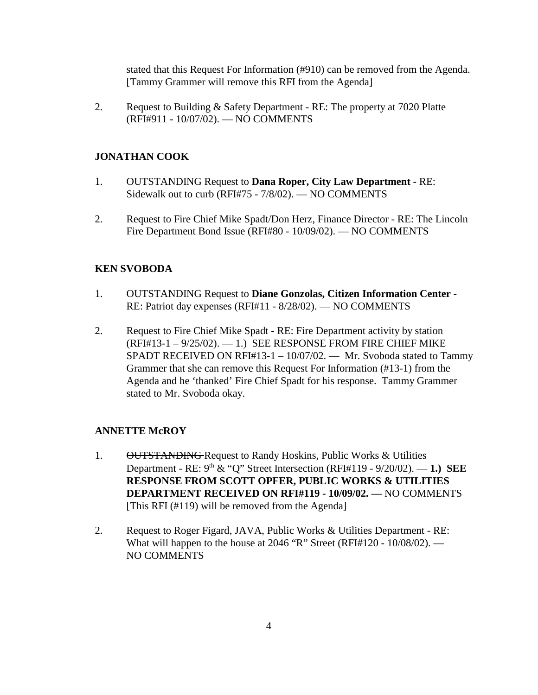stated that this Request For Information (#910) can be removed from the Agenda. [Tammy Grammer will remove this RFI from the Agenda]

2. Request to Building & Safety Department - RE: The property at 7020 Platte (RFI#911 - 10/07/02). — NO COMMENTS

# **JONATHAN COOK**

- 1. OUTSTANDING Request to **Dana Roper, City Law Department** RE: Sidewalk out to curb (RFI#75 - 7/8/02). — NO COMMENTS
- 2. Request to Fire Chief Mike Spadt/Don Herz, Finance Director RE: The Lincoln Fire Department Bond Issue (RFI#80 - 10/09/02). — NO COMMENTS

# **KEN SVOBODA**

- 1. OUTSTANDING Request to **Diane Gonzolas, Citizen Information Center** RE: Patriot day expenses (RFI#11 - 8/28/02). — NO COMMENTS
- 2. Request to Fire Chief Mike Spadt RE: Fire Department activity by station  $(RFI#13-1-9/25/02)$ . -1.) SEE RESPONSE FROM FIRE CHIEF MIKE SPADT RECEIVED ON RFI#13-1 – 10/07/02. — Mr. Svoboda stated to Tammy Grammer that she can remove this Request For Information (#13-1) from the Agenda and he 'thanked' Fire Chief Spadt for his response. Tammy Grammer stated to Mr. Svoboda okay.

# **ANNETTE McROY**

- 1. OUTSTANDING Request to Randy Hoskins, Public Works & Utilities Department - RE: 9th & "Q" Street Intersection (RFI#119 - 9/20/02). — **1.) SEE RESPONSE FROM SCOTT OPFER, PUBLIC WORKS & UTILITIES DEPARTMENT RECEIVED ON RFI#119 - 10/09/02. —** NO COMMENTS [This RFI (#119) will be removed from the Agenda]
- 2. Request to Roger Figard, JAVA, Public Works & Utilities Department RE: What will happen to the house at 2046 "R" Street (RFI#120 - 10/08/02). — NO COMMENTS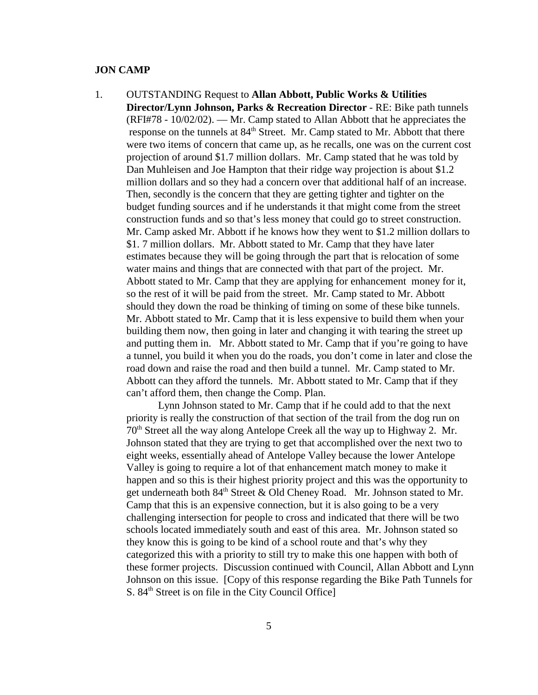#### **JON CAMP**

1. OUTSTANDING Request to **Allan Abbott, Public Works & Utilities Director/Lynn Johnson, Parks & Recreation Director** - RE: Bike path tunnels (RFI#78 - 10/02/02). — Mr. Camp stated to Allan Abbott that he appreciates the response on the tunnels at 84<sup>th</sup> Street. Mr. Camp stated to Mr. Abbott that there were two items of concern that came up, as he recalls, one was on the current cost projection of around \$1.7 million dollars. Mr. Camp stated that he was told by Dan Muhleisen and Joe Hampton that their ridge way projection is about \$1.2 million dollars and so they had a concern over that additional half of an increase. Then, secondly is the concern that they are getting tighter and tighter on the budget funding sources and if he understands it that might come from the street construction funds and so that's less money that could go to street construction. Mr. Camp asked Mr. Abbott if he knows how they went to \$1.2 million dollars to \$1. 7 million dollars. Mr. Abbott stated to Mr. Camp that they have later estimates because they will be going through the part that is relocation of some water mains and things that are connected with that part of the project. Mr. Abbott stated to Mr. Camp that they are applying for enhancement money for it, so the rest of it will be paid from the street. Mr. Camp stated to Mr. Abbott should they down the road be thinking of timing on some of these bike tunnels. Mr. Abbott stated to Mr. Camp that it is less expensive to build them when your building them now, then going in later and changing it with tearing the street up and putting them in. Mr. Abbott stated to Mr. Camp that if you're going to have a tunnel, you build it when you do the roads, you don't come in later and close the road down and raise the road and then build a tunnel. Mr. Camp stated to Mr. Abbott can they afford the tunnels. Mr. Abbott stated to Mr. Camp that if they can't afford them, then change the Comp. Plan.

Lynn Johnson stated to Mr. Camp that if he could add to that the next priority is really the construction of that section of the trail from the dog run on 70th Street all the way along Antelope Creek all the way up to Highway 2. Mr. Johnson stated that they are trying to get that accomplished over the next two to eight weeks, essentially ahead of Antelope Valley because the lower Antelope Valley is going to require a lot of that enhancement match money to make it happen and so this is their highest priority project and this was the opportunity to get underneath both  $84<sup>th</sup>$  Street & Old Cheney Road. Mr. Johnson stated to Mr. Camp that this is an expensive connection, but it is also going to be a very challenging intersection for people to cross and indicated that there will be two schools located immediately south and east of this area. Mr. Johnson stated so they know this is going to be kind of a school route and that's why they categorized this with a priority to still try to make this one happen with both of these former projects. Discussion continued with Council, Allan Abbott and Lynn Johnson on this issue. [Copy of this response regarding the Bike Path Tunnels for S. 84<sup>th</sup> Street is on file in the City Council Office]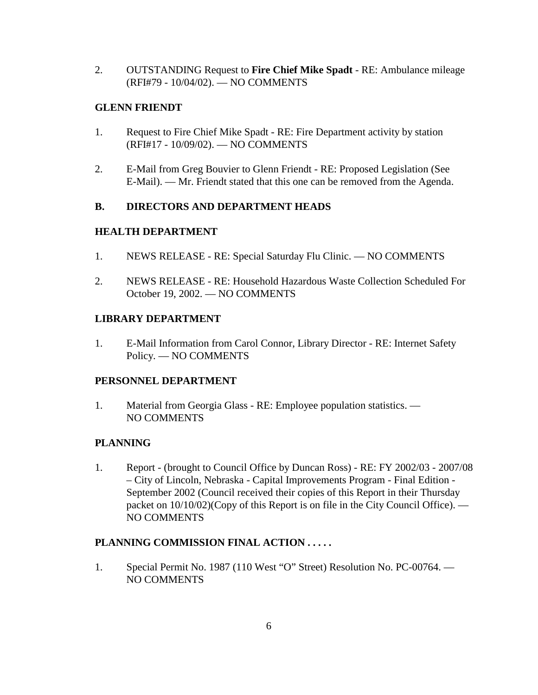2. OUTSTANDING Request to **Fire Chief Mike Spadt** - RE: Ambulance mileage (RFI#79 - 10/04/02). — NO COMMENTS

#### **GLENN FRIENDT**

- 1. Request to Fire Chief Mike Spadt RE: Fire Department activity by station (RFI#17 - 10/09/02). — NO COMMENTS
- 2. E-Mail from Greg Bouvier to Glenn Friendt RE: Proposed Legislation (See E-Mail). — Mr. Friendt stated that this one can be removed from the Agenda.

#### **B. DIRECTORS AND DEPARTMENT HEADS**

# **HEALTH DEPARTMENT**

- 1. NEWS RELEASE RE: Special Saturday Flu Clinic. NO COMMENTS
- 2. NEWS RELEASE RE: Household Hazardous Waste Collection Scheduled For October 19, 2002. — NO COMMENTS

# **LIBRARY DEPARTMENT**

1. E-Mail Information from Carol Connor, Library Director - RE: Internet Safety Policy. — NO COMMENTS

# **PERSONNEL DEPARTMENT**

1. Material from Georgia Glass - RE: Employee population statistics. — NO COMMENTS

# **PLANNING**

1. Report - (brought to Council Office by Duncan Ross) - RE: FY 2002/03 - 2007/08 – City of Lincoln, Nebraska - Capital Improvements Program - Final Edition - September 2002 (Council received their copies of this Report in their Thursday packet on 10/10/02)(Copy of this Report is on file in the City Council Office). — NO COMMENTS

# **PLANNING COMMISSION FINAL ACTION . . . . .**

1. Special Permit No. 1987 (110 West "O" Street) Resolution No. PC-00764. — NO COMMENTS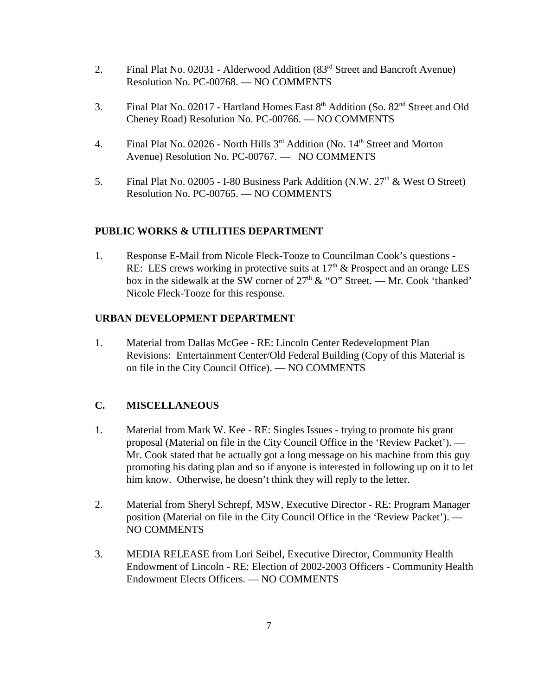- 2. Final Plat No. 02031 Alderwood Addition (83rd Street and Bancroft Avenue) Resolution No. PC-00768. — NO COMMENTS
- 3. Final Plat No. 02017 Hartland Homes East  $8<sup>th</sup>$  Addition (So.  $82<sup>nd</sup>$  Street and Old Cheney Road) Resolution No. PC-00766. — NO COMMENTS
- 4. Final Plat No. 02026 North Hills  $3<sup>rd</sup>$  Addition (No.  $14<sup>th</sup>$  Street and Morton Avenue) Resolution No. PC-00767. — NO COMMENTS
- 5. Final Plat No. 02005 I-80 Business Park Addition (N.W.  $27<sup>th</sup>$  & West O Street) Resolution No. PC-00765. — NO COMMENTS

# **PUBLIC WORKS & UTILITIES DEPARTMENT**

1. Response E-Mail from Nicole Fleck-Tooze to Councilman Cook's questions - RE: LES crews working in protective suits at  $17<sup>th</sup>$  & Prospect and an orange LES box in the sidewalk at the SW corner of  $27<sup>th</sup>$  & "O" Street. — Mr. Cook 'thanked' Nicole Fleck-Tooze for this response.

# **URBAN DEVELOPMENT DEPARTMENT**

1. Material from Dallas McGee - RE: Lincoln Center Redevelopment Plan Revisions: Entertainment Center/Old Federal Building (Copy of this Material is on file in the City Council Office). — NO COMMENTS

# **C. MISCELLANEOUS**

- 1. Material from Mark W. Kee RE: Singles Issues trying to promote his grant proposal (Material on file in the City Council Office in the 'Review Packet'). — Mr. Cook stated that he actually got a long message on his machine from this guy promoting his dating plan and so if anyone is interested in following up on it to let him know. Otherwise, he doesn't think they will reply to the letter.
- 2. Material from Sheryl Schrepf, MSW, Executive Director RE: Program Manager position (Material on file in the City Council Office in the 'Review Packet'). — NO COMMENTS
- 3. MEDIA RELEASE from Lori Seibel, Executive Director, Community Health Endowment of Lincoln - RE: Election of 2002-2003 Officers - Community Health Endowment Elects Officers. — NO COMMENTS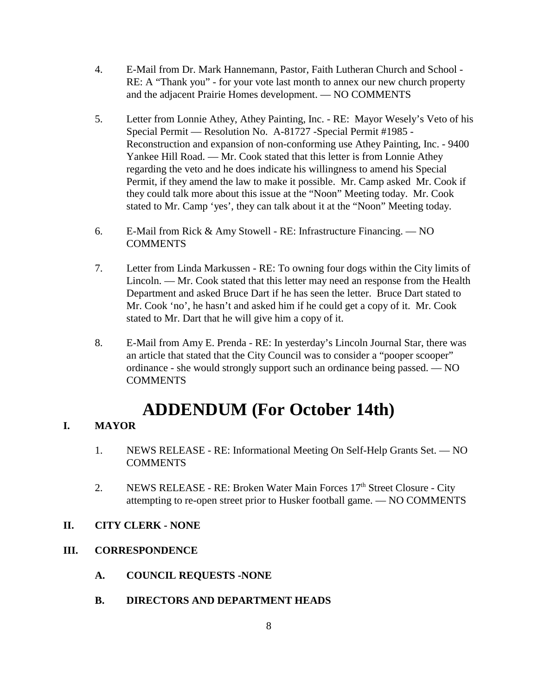- 4. E-Mail from Dr. Mark Hannemann, Pastor, Faith Lutheran Church and School RE: A "Thank you" - for your vote last month to annex our new church property and the adjacent Prairie Homes development. — NO COMMENTS
- 5. Letter from Lonnie Athey, Athey Painting, Inc. RE: Mayor Wesely's Veto of his Special Permit — Resolution No. A-81727 -Special Permit #1985 - Reconstruction and expansion of non-conforming use Athey Painting, Inc. - 9400 Yankee Hill Road. — Mr. Cook stated that this letter is from Lonnie Athey regarding the veto and he does indicate his willingness to amend his Special Permit, if they amend the law to make it possible. Mr. Camp asked Mr. Cook if they could talk more about this issue at the "Noon" Meeting today. Mr. Cook stated to Mr. Camp 'yes', they can talk about it at the "Noon" Meeting today.
- 6. E-Mail from Rick & Amy Stowell RE: Infrastructure Financing. NO **COMMENTS**
- 7. Letter from Linda Markussen RE: To owning four dogs within the City limits of Lincoln. — Mr. Cook stated that this letter may need an response from the Health Department and asked Bruce Dart if he has seen the letter. Bruce Dart stated to Mr. Cook 'no', he hasn't and asked him if he could get a copy of it. Mr. Cook stated to Mr. Dart that he will give him a copy of it.
- 8. E-Mail from Amy E. Prenda RE: In yesterday's Lincoln Journal Star, there was an article that stated that the City Council was to consider a "pooper scooper" ordinance - she would strongly support such an ordinance being passed. — NO **COMMENTS**

# **ADDENDUM (For October 14th)**

# **I. MAYOR**

- 1. NEWS RELEASE RE: Informational Meeting On Self-Help Grants Set. NO **COMMENTS**
- 2. NEWS RELEASE RE: Broken Water Main Forces  $17<sup>th</sup>$  Street Closure City attempting to re-open street prior to Husker football game. — NO COMMENTS

# **II. CITY CLERK - NONE**

# **III. CORRESPONDENCE**

- **A. COUNCIL REQUESTS -NONE**
- **B. DIRECTORS AND DEPARTMENT HEADS**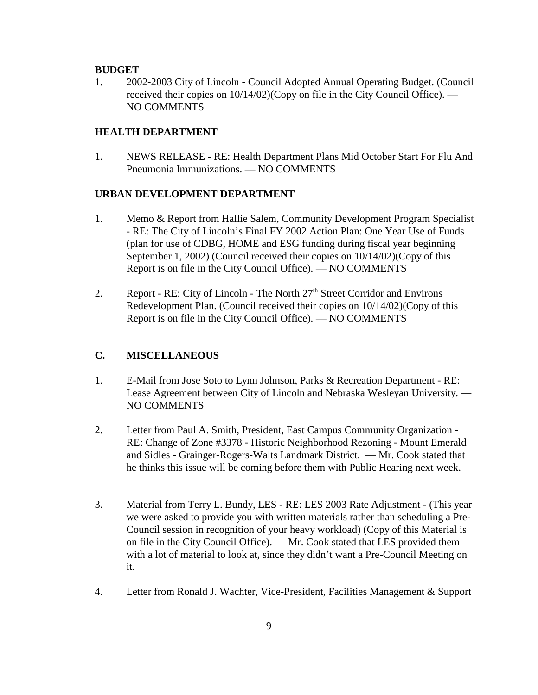#### **BUDGET**

1. 2002-2003 City of Lincoln - Council Adopted Annual Operating Budget. (Council received their copies on 10/14/02)(Copy on file in the City Council Office). — NO COMMENTS

#### **HEALTH DEPARTMENT**

1. NEWS RELEASE - RE: Health Department Plans Mid October Start For Flu And Pneumonia Immunizations. — NO COMMENTS

#### **URBAN DEVELOPMENT DEPARTMENT**

- 1. Memo & Report from Hallie Salem, Community Development Program Specialist - RE: The City of Lincoln's Final FY 2002 Action Plan: One Year Use of Funds (plan for use of CDBG, HOME and ESG funding during fiscal year beginning September 1, 2002) (Council received their copies on 10/14/02)(Copy of this Report is on file in the City Council Office). — NO COMMENTS
- 2. Report RE: City of Lincoln The North  $27<sup>th</sup>$  Street Corridor and Environs Redevelopment Plan. (Council received their copies on 10/14/02)(Copy of this Report is on file in the City Council Office). — NO COMMENTS

#### **C. MISCELLANEOUS**

- 1. E-Mail from Jose Soto to Lynn Johnson, Parks & Recreation Department RE: Lease Agreement between City of Lincoln and Nebraska Wesleyan University. — NO COMMENTS
- 2. Letter from Paul A. Smith, President, East Campus Community Organization RE: Change of Zone #3378 - Historic Neighborhood Rezoning - Mount Emerald and Sidles - Grainger-Rogers-Walts Landmark District. — Mr. Cook stated that he thinks this issue will be coming before them with Public Hearing next week.
- 3. Material from Terry L. Bundy, LES RE: LES 2003 Rate Adjustment (This year we were asked to provide you with written materials rather than scheduling a Pre-Council session in recognition of your heavy workload) (Copy of this Material is on file in the City Council Office). — Mr. Cook stated that LES provided them with a lot of material to look at, since they didn't want a Pre-Council Meeting on it.
- 4. Letter from Ronald J. Wachter, Vice-President, Facilities Management & Support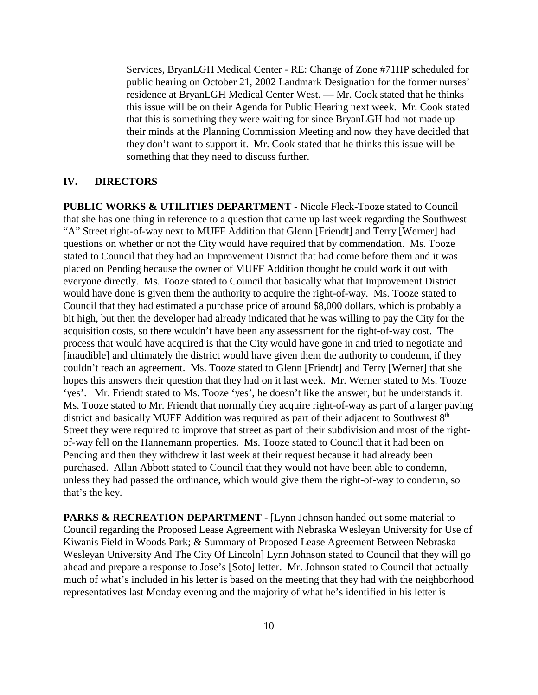Services, BryanLGH Medical Center - RE: Change of Zone #71HP scheduled for public hearing on October 21, 2002 Landmark Designation for the former nurses' residence at BryanLGH Medical Center West. — Mr. Cook stated that he thinks this issue will be on their Agenda for Public Hearing next week. Mr. Cook stated that this is something they were waiting for since BryanLGH had not made up their minds at the Planning Commission Meeting and now they have decided that they don't want to support it. Mr. Cook stated that he thinks this issue will be something that they need to discuss further.

#### **IV. DIRECTORS**

**PUBLIC WORKS & UTILITIES DEPARTMENT -** Nicole Fleck-Tooze stated to Council that she has one thing in reference to a question that came up last week regarding the Southwest "A" Street right-of-way next to MUFF Addition that Glenn [Friendt] and Terry [Werner] had questions on whether or not the City would have required that by commendation. Ms. Tooze stated to Council that they had an Improvement District that had come before them and it was placed on Pending because the owner of MUFF Addition thought he could work it out with everyone directly. Ms. Tooze stated to Council that basically what that Improvement District would have done is given them the authority to acquire the right-of-way. Ms. Tooze stated to Council that they had estimated a purchase price of around \$8,000 dollars, which is probably a bit high, but then the developer had already indicated that he was willing to pay the City for the acquisition costs, so there wouldn't have been any assessment for the right-of-way cost. The process that would have acquired is that the City would have gone in and tried to negotiate and [inaudible] and ultimately the district would have given them the authority to condemn, if they couldn't reach an agreement. Ms. Tooze stated to Glenn [Friendt] and Terry [Werner] that she hopes this answers their question that they had on it last week. Mr. Werner stated to Ms. Tooze 'yes'. Mr. Friendt stated to Ms. Tooze 'yes', he doesn't like the answer, but he understands it. Ms. Tooze stated to Mr. Friendt that normally they acquire right-of-way as part of a larger paving district and basically MUFF Addition was required as part of their adjacent to Southwest  $8<sup>th</sup>$ Street they were required to improve that street as part of their subdivision and most of the rightof-way fell on the Hannemann properties. Ms. Tooze stated to Council that it had been on Pending and then they withdrew it last week at their request because it had already been purchased. Allan Abbott stated to Council that they would not have been able to condemn, unless they had passed the ordinance, which would give them the right-of-way to condemn, so that's the key.

PARKS & RECREATION DEPARTMENT - [Lynn Johnson handed out some material to Council regarding the Proposed Lease Agreement with Nebraska Wesleyan University for Use of Kiwanis Field in Woods Park; & Summary of Proposed Lease Agreement Between Nebraska Wesleyan University And The City Of Lincoln] Lynn Johnson stated to Council that they will go ahead and prepare a response to Jose's [Soto] letter. Mr. Johnson stated to Council that actually much of what's included in his letter is based on the meeting that they had with the neighborhood representatives last Monday evening and the majority of what he's identified in his letter is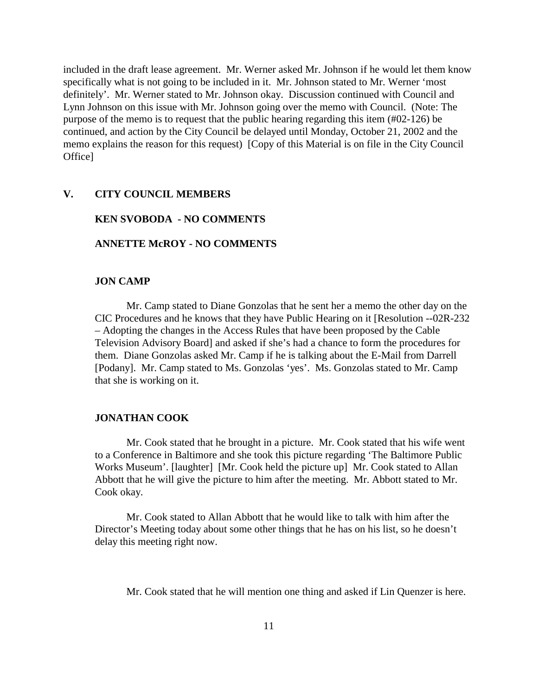included in the draft lease agreement. Mr. Werner asked Mr. Johnson if he would let them know specifically what is not going to be included in it. Mr. Johnson stated to Mr. Werner 'most definitely'. Mr. Werner stated to Mr. Johnson okay. Discussion continued with Council and Lynn Johnson on this issue with Mr. Johnson going over the memo with Council. (Note: The purpose of the memo is to request that the public hearing regarding this item (#02-126) be continued, and action by the City Council be delayed until Monday, October 21, 2002 and the memo explains the reason for this request) [Copy of this Material is on file in the City Council Office]

#### **V. CITY COUNCIL MEMBERS**

#### **KEN SVOBODA - NO COMMENTS**

#### **ANNETTE McROY - NO COMMENTS**

#### **JON CAMP**

Mr. Camp stated to Diane Gonzolas that he sent her a memo the other day on the CIC Procedures and he knows that they have Public Hearing on it [Resolution --02R-232 – Adopting the changes in the Access Rules that have been proposed by the Cable Television Advisory Board] and asked if she's had a chance to form the procedures for them. Diane Gonzolas asked Mr. Camp if he is talking about the E-Mail from Darrell [Podany]. Mr. Camp stated to Ms. Gonzolas 'yes'. Ms. Gonzolas stated to Mr. Camp that she is working on it.

#### **JONATHAN COOK**

Mr. Cook stated that he brought in a picture. Mr. Cook stated that his wife went to a Conference in Baltimore and she took this picture regarding 'The Baltimore Public Works Museum'. [laughter] [Mr. Cook held the picture up] Mr. Cook stated to Allan Abbott that he will give the picture to him after the meeting. Mr. Abbott stated to Mr. Cook okay.

Mr. Cook stated to Allan Abbott that he would like to talk with him after the Director's Meeting today about some other things that he has on his list, so he doesn't delay this meeting right now.

Mr. Cook stated that he will mention one thing and asked if Lin Quenzer is here.